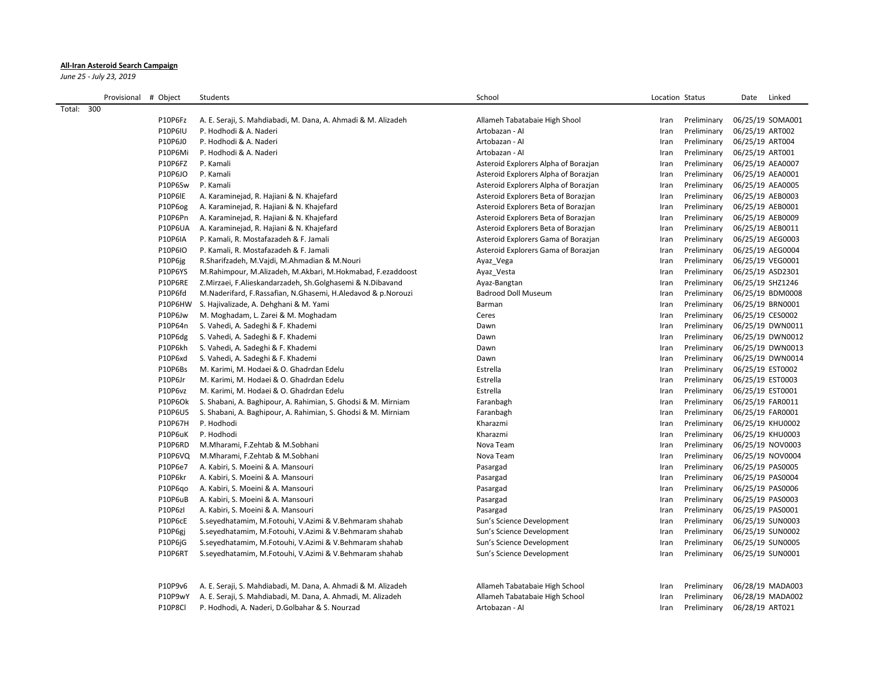## **All-Iran Asteroid Search Campaign**

*June 25 - July 23, 2019*

| Provisional # Object | Students                                                      | School                               | Location Status     | Linked<br>Date   |
|----------------------|---------------------------------------------------------------|--------------------------------------|---------------------|------------------|
| Total: 300           |                                                               |                                      |                     |                  |
| P10P6Fz              | A. E. Seraji, S. Mahdiabadi, M. Dana, A. Ahmadi & M. Alizadeh | Allameh Tabatabaie High Shool        | Preliminary<br>Iran | 06/25/19 SOMA001 |
| <b>P10P6IU</b>       | P. Hodhodi & A. Naderi                                        | Artobazan - Al                       | Iran<br>Preliminary | 06/25/19 ART002  |
| P10P6J0              | P. Hodhodi & A. Naderi                                        | Artobazan - Al                       | Iran<br>Preliminary | 06/25/19 ART004  |
| P10P6Mi              | P. Hodhodi & A. Naderi                                        | Artobazan - Al                       | Preliminary<br>Iran | 06/25/19 ART001  |
| P10P6FZ              | P. Kamali                                                     | Asteroid Explorers Alpha of Borazjan | Preliminary<br>Iran | 06/25/19 AEA0007 |
| P10P6JO              | P. Kamali                                                     | Asteroid Explorers Alpha of Borazjan | Preliminary<br>Iran | 06/25/19 AEA0001 |
| P10P6Sw              | P. Kamali                                                     | Asteroid Explorers Alpha of Borazjan | Iran<br>Preliminary | 06/25/19 AEA0005 |
| P10P6IE              | A. Karaminejad, R. Hajiani & N. Khajefard                     | Asteroid Explorers Beta of Borazjan  | Preliminary<br>Iran | 06/25/19 AEB0003 |
| P10P6og              | A. Karaminejad, R. Hajiani & N. Khajefard                     | Asteroid Explorers Beta of Borazjan  | Preliminary<br>Iran | 06/25/19 AEB0001 |
| P10P6Pn              | A. Karaminejad, R. Hajiani & N. Khajefard                     | Asteroid Explorers Beta of Borazjan  | Preliminary<br>Iran | 06/25/19 AEB0009 |
| <b>P10P6UA</b>       | A. Karaminejad, R. Hajiani & N. Khajefard                     | Asteroid Explorers Beta of Borazjan  | Preliminary<br>Iran | 06/25/19 AEB0011 |
| <b>P10P6IA</b>       | P. Kamali, R. Mostafazadeh & F. Jamali                        | Asteroid Explorers Gama of Borazjan  | Preliminary<br>Iran | 06/25/19 AEG0003 |
| P10P6IO              | P. Kamali, R. Mostafazadeh & F. Jamali                        | Asteroid Explorers Gama of Borazjan  | Preliminary<br>Iran | 06/25/19 AEG0004 |
| P10P6jg              | R.Sharifzadeh, M.Vaidi, M.Ahmadian & M.Nouri                  | Ayaz_Vega                            | Preliminary<br>Iran | 06/25/19 VEG0001 |
| <b>P10P6YS</b>       | M.Rahimpour, M.Alizadeh, M.Akbari, M.Hokmabad, F.ezaddoost    | Ayaz_Vesta                           | Preliminary<br>Iran | 06/25/19 ASD2301 |
| P10P6RE              | Z.Mirzaei, F.Alieskandarzadeh, Sh.Golghasemi & N.Dibavand     | Ayaz-Bangtan                         | Preliminary<br>Iran | 06/25/19 SHZ1246 |
| P10P6fd              | M.Naderifard, F.Rassafian, N.Ghasemi, H.Aledavod & p.Norouzi  | <b>Badrood Doll Museum</b>           | Preliminary<br>Iran | 06/25/19 BDM0008 |
| P10P6HW              | S. Hajivalizade, A. Dehghani & M. Yami                        | Barman                               | Preliminary<br>Iran | 06/25/19 BRN0001 |
| P10P6Jw              | M. Moghadam, L. Zarei & M. Moghadam                           | Ceres                                | Preliminary<br>Iran | 06/25/19 CES0002 |
| P10P64n              | S. Vahedi, A. Sadeghi & F. Khademi                            | Dawn                                 | Preliminary<br>Iran | 06/25/19 DWN0011 |
| P10P6dg              | S. Vahedi, A. Sadeghi & F. Khademi                            | Dawn                                 | Preliminary<br>Iran | 06/25/19 DWN0012 |
| P10P6kh              | S. Vahedi, A. Sadeghi & F. Khademi                            | Dawn                                 | Preliminary<br>Iran | 06/25/19 DWN0013 |
| P10P6xd              | S. Vahedi, A. Sadeghi & F. Khademi                            | Dawn                                 | Preliminary<br>Iran | 06/25/19 DWN0014 |
| P10P6Bs              | M. Karimi, M. Hodaei & O. Ghadrdan Edelu                      | Estrella                             | Preliminary<br>Iran | 06/25/19 EST0002 |
| P10P6Jr              | M. Karimi, M. Hodaei & O. Ghadrdan Edelu                      | Estrella                             | Preliminary<br>Iran | 06/25/19 EST0003 |
| P10P6vz              | M. Karimi, M. Hodaei & O. Ghadrdan Edelu                      | Estrella                             | Preliminary<br>Iran | 06/25/19 EST0001 |
| P10P6Ok              | S. Shabani, A. Baghipour, A. Rahimian, S. Ghodsi & M. Mirniam | Faranbagh                            | Preliminary<br>Iran | 06/25/19 FAR0011 |
| P10P6U5              | S. Shabani, A. Baghipour, A. Rahimian, S. Ghodsi & M. Mirniam | Faranbagh                            | Preliminary<br>Iran | 06/25/19 FAR0001 |
| P10P67H              | P. Hodhodi                                                    | Kharazmi                             | Preliminary<br>Iran | 06/25/19 KHU0002 |
| P10P6uK              | P. Hodhodi                                                    | Kharazmi                             | Preliminary<br>Iran | 06/25/19 KHU0003 |
| P10P6RD              | M.Mharami, F.Zehtab & M.Sobhani                               | Nova Team                            | Iran<br>Preliminary | 06/25/19 NOV0003 |
| P10P6VQ              | M.Mharami, F.Zehtab & M.Sobhani                               | Nova Team                            | Preliminary<br>Iran | 06/25/19 NOV0004 |
| P10P6e7              | A. Kabiri, S. Moeini & A. Mansouri                            | Pasargad                             | Preliminary<br>Iran | 06/25/19 PAS0005 |
| P10P6kr              | A. Kabiri, S. Moeini & A. Mansouri                            | Pasargad                             | Preliminary<br>Iran | 06/25/19 PAS0004 |
| P10P6qo              | A. Kabiri, S. Moeini & A. Mansouri                            | Pasargad                             | Preliminary<br>Iran | 06/25/19 PAS0006 |
| P10P6uB              | A. Kabiri, S. Moeini & A. Mansouri                            | Pasargad                             | Preliminary<br>Iran | 06/25/19 PAS0003 |
| P10P6zl              | A. Kabiri, S. Moeini & A. Mansouri                            | Pasargad                             | Preliminary<br>Iran | 06/25/19 PAS0001 |
| P10P6cE              | S.seyedhatamim, M.Fotouhi, V.Azimi & V.Behmaram shahab        | Sun's Science Development            | Preliminary<br>Iran | 06/25/19 SUN0003 |
| P10P6gi              | S.seyedhatamim, M.Fotouhi, V.Azimi & V.Behmaram shahab        | Sun's Science Development            | Preliminary<br>Iran | 06/25/19 SUN0002 |
| P10P6iG              | S.seyedhatamim, M.Fotouhi, V.Azimi & V.Behmaram shahab        | Sun's Science Development            | Preliminary<br>Iran | 06/25/19 SUN0005 |
| P10P6RT              | S.seyedhatamim, M.Fotouhi, V.Azimi & V.Behmaram shahab        | Sun's Science Development            | Preliminary<br>Iran | 06/25/19 SUN0001 |
| P10P9v6              | A. E. Seraji, S. Mahdiabadi, M. Dana, A. Ahmadi & M. Alizadeh | Allameh Tabatabaie High School       | Iran<br>Preliminary | 06/28/19 MADA003 |
| P10P9wY              | A. E. Seraji, S. Mahdiabadi, M. Dana, A. Ahmadi, M. Alizadeh  | Allameh Tabatabaie High School       | Iran<br>Preliminary | 06/28/19 MADA002 |
| P10P8Cl              | P. Hodhodi, A. Naderi, D.Golbahar & S. Nourzad                | Artobazan - Al                       | Iran<br>Preliminary | 06/28/19 ART021  |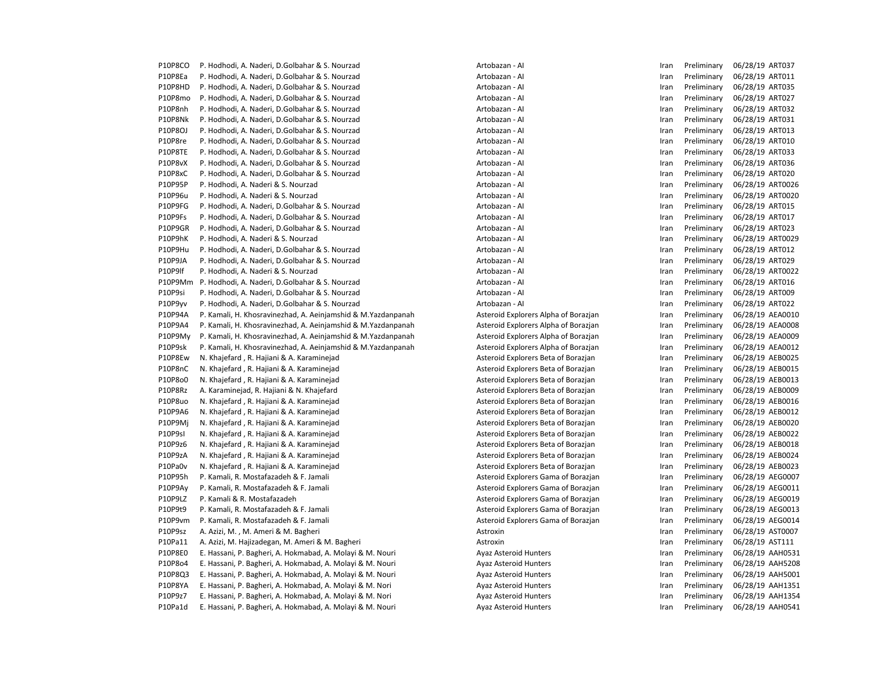P10P8CO P. Hodhodi, A. Naderi, D.Golbahar & S. Nourzad **Artobazan - Antobazan - AI Iran Preliminary 06/28/19 ART037** P10P8Ea P. Hodhodi. A. Naderi. D.Golbahar & S. Nourzad Material Artobazan - AI Chromate Artobazan - AI Iran Preliminary 06/28/19 ART011 P10P8HD P. Hodhodi, A. Naderi, D.Golbahar & S. Nourzad **Artobazan - Antobazan - AI** Preliminary 06/28/19 ART035 P10P8mo P. Hodhodi, A. Naderi, D.Golbahar & S. Nourzad **Artobazan - Antobazan - AI** Preliminary 06/28/19 ART027 P10P8nh P. Hodhodi, A. Naderi, D.Golbahar & S. Nourzad **Artobazan - Antobazan - AI** Preliminary 06/28/19 ART032 P10P8Nk P. Hodhodi, A. Naderi, D.Golbahar & S. Nourzad **Artobazan - Antobazan - AI** Preliminary 06/28/19 ART031 P10P8OJ P. Hodhodi, A. Naderi, D.Golbahar & S. Nourzad **Artobazan - Antobazan - Al** Iran Preliminary 06/28/19 ART013 P10P8re P. Hodhodi, A. Naderi, D.Golbahar & S. Nourzad **Artobazan - Antobazan - AI** Preliminary 06/28/19 ART010 P10P8TE P. Hodhodi, A. Naderi, D.Golbahar & S. Nourzad **Artobazan - Antobazan - AI Inchestan Preliminary 06/28/19 ART033** P10P8vX P. Hodhodi, A. Naderi, D.Golbahar & S. Nourzad Artobazan - AI Artobazan - AI Iran Preliminary 06/28/19 ART036 P10P8xC P. Hodhodi, A. Naderi, D.Golbahar & S. Nourzad **Artobazan - Antobazan - AI** Artobazan - AI Iran Preliminary 06/28/19 ART020 P10P95P P. Hodhodi, A. Naderi & S. Nourzad Artobazan - Al Artobazan - AI Iran Preliminary 06/28/19 ART0026 P10P96u P. Hodhodi, A. Naderi & S. Nourzad Artobazan - Artobazan - AI Artobazan - AI Iran Preliminary 06/28/19 ART0020 P10P9FG P. Hodhodi, A. Naderi, D.Golbahar & S. Nourzad **Artobazan - Antobazan - AI** Preliminary 06/28/19 ART015 P10P9Fs P. Hodhodi, A. Naderi, D.Golbahar & S. Nourzad **Artobazan - Antobazan - AI** Preliminary 06/28/19 ART017 P10P9GR P. Hodhodi, A. Naderi, D.Golbahar & S. Nourzad **Artobazan - Antobazan - AI Inches and Artobazan - AI** Iran Preliminary 06/28/19 ART023 P10P9hK P. Hodhodi, A. Naderi & S. Nourzad **Artobazan - Artobazan - AI** Artobazan - AI Iran Preliminary 06/28/19 ART0029 P10P9Hu P. Hodhodi, A. Naderi, D.Golbahar & S. Nourzad **Artobazan - Antobazan - AI** Preliminary 06/28/19 ART012 P10P9JA P. Hodhodi, A. Naderi, D.Golbahar & S. Nourzad Material Artobazan - AI Chromater Artobazan - AI Iran Preliminary 06/28/19 ART029 P10P9lf P. Hodhodi, A. Naderi & S. Nourzad **Artobazan - Artobazan - AI** Artobazan - AI Iran Preliminary 06/28/19 ART0022 P10P9Mm P. Hodhodi, A. Naderi, D.Golbahar & S. Nourzad **Artobazan - Antobazan - AI** Preliminary 06/28/19 ART016 P10P9si P. Hodhodi, A. Naderi, D.Golbahar & S. Nourzad **Artobazan - Antobazan - AI** Preliminary 06/28/19 ART009 P10P9yv P. Hodhodi, A. Naderi, D.Golbahar & S. Nourzad **Artobazan - Antobazan - AI** Preliminary 06/28/19 ART022 P10P94A P. Kamali, H. Khosravinezhad, A. Aeinjamshid & M.Yazdanpanah Asteroid Explorers Alpha of Borazjan Iran Preliminary 06/28/19 AEA0010 P10P9A4 P. Kamali, H. Khosravinezhad, A. Aeinjamshid & M.Yazdanpanah Asteroid Explorers Alpha of Borazjan Iran Preliminary 06/28/19 AEA0008 P10P9My P. Kamali, H. Khosravinezhad, A. Aeinjamshid & M. Yazdanpanah Asteroid Explorers Alpha of Borazjan Iran Preliminary 06/28/19 AEA0009 P10P9sk P. Kamali, H. Khosravinezhad, A. Aeinjamshid & M. Yazdanpanah Asteroid Explorers Alpha of Borazjan Iran Preliminary 06/28/19 AEA0012 P10P8Ew N. Khajefard , R. Hajiani & A. Karaminejad Asteroid Explorers Beta of Borazjan Iran Preliminary 06/28/19 AEB0025 P10P8nC N. Khajefard , R. Hajiani & A. Karaminejad Asteroid Explorers Beta of Borazjan Iran Preliminary 06/28/19 AEB0015 P10P8o0 N. Khaiefard , R. Hajiani & A. Karaminejad Asteroid Explorers Beta of Borazjan Iran Preliminary 06/28/19 AEB0013 P10P8Rz A. Karaminejad, R. Hajiani & N. Khajefard Asteroid Explorers Beta of Borazjan Iran Preliminary 06/28/19 AEB0009 P10P8uo N. Khajefard , R. Hajiani & A. Karaminejad Asteroid Explorers Beta of Borazjan Iran Preliminary 06/28/19 AEB0016 P10P9A6 N. Khajefard , R. Hajiani & A. Karaminejad Asteroid Explorers Beta of Borazjan Iran Preliminary 06/28/19 AEB0012 P10P9Mj N. Khajefard , R. Hajiani & A. Karaminejad Asteroid Explorers Beta of Borazjan Iran Preliminary 06/28/19 AEB0020 P10P9sI N. Khajefard , R. Hajiani & A. Karaminejad Asteroid Explorers Beta of Borazjan Iran Preliminary 06/28/19 AEB0022 P10P9z6 N. Khaiefard , R. Haiiani & A. Karamineiad Asteroid Explorers Beta of Borazian Iran Preliminary 06/28/19 AEB0018 P10P9zA N. Khajefard , R. Hajiani & A. Karaminejad Asteroid Explorers Beta of Borazjan Iran Preliminary 06/28/19 AEB0024 P10Pa0v N. Khajefard , R. Hajiani & A. Karaminejad Asteroid Explorers Beta of Borazjan Iran Preliminary 06/28/19 AEB0023 P10P95h P. Kamali, R. Mostafazadeh & F. Jamali Asteroid Explorers Gama of Borazjan Iran Preliminary 06/28/19 AEG0007 P10P9Ay P. Kamali, R. Mostafazadeh & F. Jamali Asteroid Explorers Gama of Borazjan Iran Preliminary 06/28/19 AEG0011 P10P9LZ P. Kamali & R. Mostafazadeh Asteroid Explorers Gama of Borazjan Iran Preliminary 06/28/19 AEG0019 P10P9t9 P. Kamali, R. Mostafazadeh & F. Jamali Asteroid Explorers Gama of Borazian Iran Preliminary 06/28/19 AEG0013 P10P9vm P. Kamali, R. Mostafazadeh & F. Jamali Asteroid Explorers Gama of Borazjan Iran Preliminary 06/28/19 AEG0014 P10P9sz A. Azizi, M. , M. Ameri & M. Bagheri Astroxin Astroxin Astroxin Astroxin Astroxin Iran Preliminary 06/28/19 AST0007 P10Pa11 A. Azizi, M. Hajizadegan, M. Ameri & M. Bagheri **Action Actroxin** Astroxin **Astroxin Assume Action** Preliminary 06/28/19 AST111 P10P8E0 E. Hassani, P. Bagheri, A. Hokmabad, A. Molayi & M. Nouri Ayaz Asteroid Hunters Iran Preliminary 06/28/19 AAH0531 P10P8o4 E. Hassani, P. Bagheri, A. Hokmabad, A. Molayi & M. Nouri Ayaz Asteroid Hunters Iran Preliminary 06/28/19 AAH5208 P10P8Q3 E. Hassani, P. Bagheri, A. Hokmabad, A. Molayi & M. Nouri Ayaz Asteroid Hunters Preliminary 06/28/19 AAH5001 P10P8YA E. Hassani, P. Bagheri, A. Hokmabad, A. Molayi & M. Nori Ayaz Asteroid Hunters Fram Preliminary 06/28/19 AAH1351 P10P9z7 E. Hassani, P. Bagheri, A. Hokmabad, A. Molayi & M. Nori Ayaz Asteroid Hunters Iran Preliminary 06/28/19 AAH1354 P10Pa1d E. Hassani, P. Bagheri, A. Hokmabad, A. Molayi & M. Nouri Ayaz Asteroid Hunters Fram Preliminary 06/28/19 AAH0541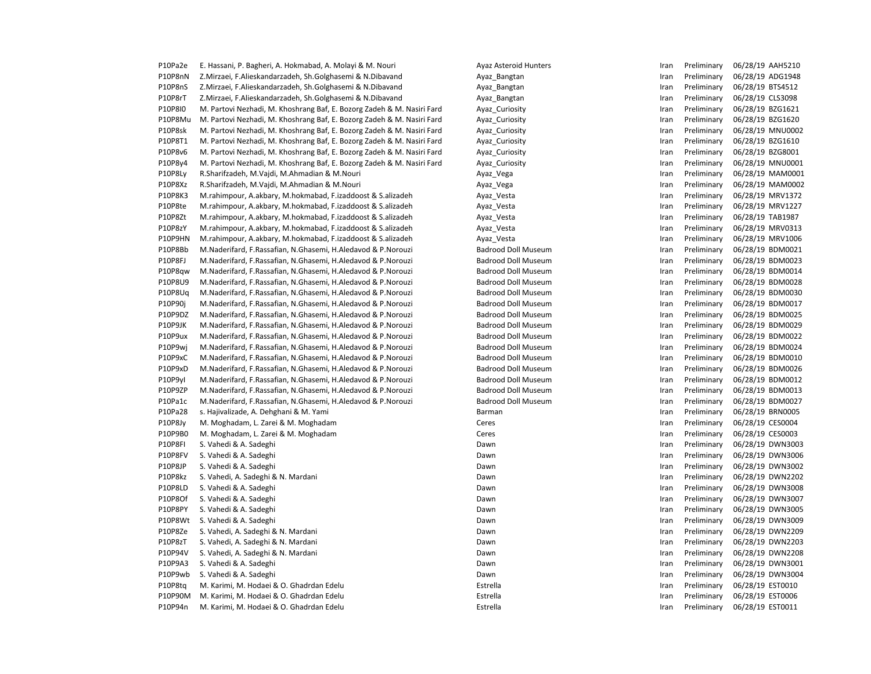| P10Pa2e | E. Hassani, P. Bagheri, A. Hokmabad, A. Molayi & M. Nouri              | Ayaz Asteroid Hunters      | Iran | Preliminary | 06/28/19 AAH5210 |
|---------|------------------------------------------------------------------------|----------------------------|------|-------------|------------------|
| P10P8nN | Z.Mirzaei, F.Alieskandarzadeh, Sh.Golghasemi & N.Dibavand              | Ayaz_Bangtan               | Iran | Preliminary | 06/28/19 ADG1948 |
| P10P8nS | Z.Mirzaei, F.Alieskandarzadeh, Sh.Golghasemi & N.Dibavand              | Ayaz_Bangtan               | Iran | Preliminary | 06/28/19 BTS4512 |
| P10P8rT | Z.Mirzaei, F.Alieskandarzadeh, Sh.Golghasemi & N.Dibavand              | Ayaz_Bangtan               | Iran | Preliminary | 06/28/19 CLS3098 |
| P10P8I0 | M. Partovi Nezhadi, M. Khoshrang Baf, E. Bozorg Zadeh & M. Nasiri Fard | Ayaz_Curiosity             | Iran | Preliminary | 06/28/19 BZG1621 |
| P10P8Mu | M. Partovi Nezhadi, M. Khoshrang Baf, E. Bozorg Zadeh & M. Nasiri Fard | Ayaz Curiosity             | Iran | Preliminary | 06/28/19 BZG1620 |
| P10P8sk | M. Partovi Nezhadi, M. Khoshrang Baf, E. Bozorg Zadeh & M. Nasiri Fard | Ayaz Curiosity             | Iran | Preliminary | 06/28/19 MNU0002 |
| P10P8T1 | M. Partovi Nezhadi, M. Khoshrang Baf, E. Bozorg Zadeh & M. Nasiri Fard | Ayaz_Curiosity             | Iran | Preliminary | 06/28/19 BZG1610 |
| P10P8v6 | M. Partovi Nezhadi, M. Khoshrang Baf, E. Bozorg Zadeh & M. Nasiri Fard | Ayaz_Curiosity             | Iran | Preliminary | 06/28/19 BZG8001 |
| P10P8y4 | M. Partovi Nezhadi, M. Khoshrang Baf, E. Bozorg Zadeh & M. Nasiri Fard | Ayaz_Curiosity             | Iran | Preliminary | 06/28/19 MNU0001 |
| P10P8Ly | R.Sharifzadeh, M.Vajdi, M.Ahmadian & M.Nouri                           | Ayaz_Vega                  | Iran | Preliminary | 06/28/19 MAM0001 |
| P10P8Xz | R.Sharifzadeh, M.Vajdi, M.Ahmadian & M.Nouri                           | Ayaz_Vega                  | Iran | Preliminary | 06/28/19 MAM0002 |
| P10P8K3 | M.rahimpour, A.akbary, M.hokmabad, F.izaddoost & S.alizadeh            | Ayaz_Vesta                 | Iran | Preliminary | 06/28/19 MRV1372 |
| P10P8te | M.rahimpour, A.akbary, M.hokmabad, F.izaddoost & S.alizadeh            | Ayaz_Vesta                 | Iran | Preliminary | 06/28/19 MRV1227 |
| P10P8Zt | M.rahimpour, A.akbary, M.hokmabad, F.izaddoost & S.alizadeh            | Ayaz_Vesta                 | Iran | Preliminary | 06/28/19 TAB1987 |
| P10P8zY | M.rahimpour, A.akbary, M.hokmabad, F.izaddoost & S.alizadeh            | Ayaz_Vesta                 | Iran | Preliminary | 06/28/19 MRV0313 |
| P10P9HN | M.rahimpour, A.akbary, M.hokmabad, F.izaddoost & S.alizadeh            | Ayaz Vesta                 | Iran | Preliminary | 06/28/19 MRV1006 |
| P10P8Bb | M.Naderifard, F.Rassafian, N.Ghasemi, H.Aledavod & P.Norouzi           | <b>Badrood Doll Museum</b> | Iran | Preliminary | 06/28/19 BDM0021 |
| P10P8FJ | M.Naderifard, F.Rassafian, N.Ghasemi, H.Aledavod & P.Norouzi           | <b>Badrood Doll Museum</b> | Iran | Preliminary | 06/28/19 BDM0023 |
| P10P8qw | M.Naderifard, F.Rassafian, N.Ghasemi, H.Aledavod & P.Norouzi           | <b>Badrood Doll Museum</b> | Iran | Preliminary | 06/28/19 BDM0014 |
| P10P8U9 | M.Naderifard, F.Rassafian, N.Ghasemi, H.Aledavod & P.Norouzi           | <b>Badrood Doll Museum</b> | Iran | Preliminary | 06/28/19 BDM0028 |
| P10P8Uq | M.Naderifard, F.Rassafian, N.Ghasemi, H.Aledavod & P.Norouzi           | <b>Badrood Doll Museum</b> | Iran | Preliminary | 06/28/19 BDM0030 |
| P10P90j | M.Naderifard, F.Rassafian, N.Ghasemi, H.Aledavod & P.Norouzi           | <b>Badrood Doll Museum</b> | Iran | Preliminary | 06/28/19 BDM0017 |
| P10P9DZ | M.Naderifard, F.Rassafian, N.Ghasemi, H.Aledavod & P.Norouzi           | <b>Badrood Doll Museum</b> | Iran | Preliminary | 06/28/19 BDM0025 |
| P10P9JK | M.Naderifard, F.Rassafian, N.Ghasemi, H.Aledavod & P.Norouzi           | <b>Badrood Doll Museum</b> | Iran | Preliminary | 06/28/19 BDM0029 |
| P10P9ux | M.Naderifard, F.Rassafian, N.Ghasemi, H.Aledavod & P.Norouzi           | Badrood Doll Museum        | Iran | Preliminary | 06/28/19 BDM0022 |
| P10P9wi | M.Naderifard, F.Rassafian, N.Ghasemi, H.Aledavod & P.Norouzi           | <b>Badrood Doll Museum</b> | Iran | Preliminary | 06/28/19 BDM0024 |
| P10P9xC | M.Naderifard, F.Rassafian, N.Ghasemi, H.Aledavod & P.Norouzi           | <b>Badrood Doll Museum</b> | Iran | Preliminary | 06/28/19 BDM0010 |
| P10P9xD | M.Naderifard, F.Rassafian, N.Ghasemi, H.Aledavod & P.Norouzi           | <b>Badrood Doll Museum</b> | Iran | Preliminary | 06/28/19 BDM0026 |
| P10P9yl | M.Naderifard, F.Rassafian, N.Ghasemi, H.Aledavod & P.Norouzi           | <b>Badrood Doll Museum</b> | Iran | Preliminary | 06/28/19 BDM0012 |
| P10P9ZP | M.Naderifard, F.Rassafian, N.Ghasemi, H.Aledavod & P.Norouzi           | <b>Badrood Doll Museum</b> | Iran | Preliminary | 06/28/19 BDM0013 |
| P10Pa1c | M.Naderifard, F.Rassafian, N.Ghasemi, H.Aledavod & P.Norouzi           | <b>Badrood Doll Museum</b> | Iran | Preliminary | 06/28/19 BDM0027 |
| P10Pa28 | s. Hajivalizade, A. Dehghani & M. Yami                                 | Barman                     | Iran | Preliminary | 06/28/19 BRN0005 |
| P10P8Jy | M. Moghadam, L. Zarei & M. Moghadam                                    | Ceres                      | Iran | Preliminary | 06/28/19 CES0004 |
| P10P9B0 | M. Moghadam, L. Zarei & M. Moghadam                                    | Ceres                      | Iran | Preliminary | 06/28/19 CES0003 |
| P10P8FI | S. Vahedi & A. Sadeghi                                                 | Dawn                       | Iran | Preliminary | 06/28/19 DWN3003 |
| P10P8FV | S. Vahedi & A. Sadeghi                                                 | Dawn                       | Iran | Preliminary | 06/28/19 DWN3006 |
| P10P8JP | S. Vahedi & A. Sadeghi                                                 | Dawn                       | Iran | Preliminary | 06/28/19 DWN3002 |
| P10P8kz | S. Vahedi, A. Sadeghi & N. Mardani                                     | Dawn                       | Iran | Preliminary | 06/28/19 DWN2202 |
| P10P8LD | S. Vahedi & A. Sadeghi                                                 | Dawn                       | Iran | Preliminary | 06/28/19 DWN3008 |
| P10P8Of | S. Vahedi & A. Sadeghi                                                 | Dawn                       | Iran | Preliminary | 06/28/19 DWN3007 |
| P10P8PY | S. Vahedi & A. Sadeghi                                                 | Dawn                       | Iran | Preliminary | 06/28/19 DWN3005 |
| P10P8Wt | S. Vahedi & A. Sadeghi                                                 | Dawn                       | Iran | Preliminary | 06/28/19 DWN3009 |
| P10P8Ze | S. Vahedi, A. Sadeghi & N. Mardani                                     | Dawn                       | Iran | Preliminary | 06/28/19 DWN2209 |
| P10P8zT | S. Vahedi, A. Sadeghi & N. Mardani                                     | Dawn                       | Iran | Preliminary | 06/28/19 DWN2203 |
| P10P94V | S. Vahedi, A. Sadeghi & N. Mardani                                     | Dawn                       | Iran | Preliminary | 06/28/19 DWN2208 |
| P10P9A3 | S. Vahedi & A. Sadeghi                                                 | Dawn                       | Iran | Preliminary | 06/28/19 DWN3001 |
| P10P9wb | S. Vahedi & A. Sadeghi                                                 | Dawn                       | Iran | Preliminary | 06/28/19 DWN3004 |
| P10P8tq | M. Karimi, M. Hodaei & O. Ghadrdan Edelu                               | Estrella                   | Iran | Preliminary | 06/28/19 EST0010 |
| P10P90M | M. Karimi, M. Hodaei & O. Ghadrdan Edelu                               | Estrella                   | Iran | Preliminary | 06/28/19 EST0006 |
| P10P94n | M. Karimi, M. Hodaei & O. Ghadrdan Edelu                               | Estrella                   | Iran | Preliminary | 06/28/19 EST0011 |
|         |                                                                        |                            |      |             |                  |

| Iran | Preliminary                | 06/28/19 | AAH5210        |
|------|----------------------------|----------|----------------|
| Iran | Preliminary                | 06/28/19 | ADG1948        |
| Iran | Preliminary                | 06/28/19 | BTS4512        |
| Iran | Preliminary                | 06/28/19 | <b>CLS3098</b> |
| Iran | Preliminary                | 06/28/19 | BZG1621        |
| Iran | Preliminary                | 06/28/19 | <b>BZG1620</b> |
| Iran | Preliminary                | 06/28/19 | MNU0002        |
| Iran | Preliminary                | 06/28/19 | BZG1610        |
| Iran | Preliminary                | 06/28/19 | BZG8001        |
| Iran | Preliminary                | 06/28/19 | MNU0001        |
| Iran | Preliminary                | 06/28/19 | MAM0001        |
| Iran | Preliminary                | 06/28/19 | MAM0002        |
| Iran | Preliminary                | 06/28/19 | MRV1372        |
| Iran | Preliminary                | 06/28/19 | MRV1227        |
| Iran | Preliminary                | 06/28/19 | <b>TAB1987</b> |
| Iran | Preliminary                | 06/28/19 | MRV0313        |
| Iran | Preliminary                | 06/28/19 | MRV1006        |
| Iran | Preliminary                | 06/28/19 | BDM0021        |
| Iran | Preliminary                | 06/28/19 | <b>BDM0023</b> |
| Iran | Preliminary                | 06/28/19 | <b>BDM0014</b> |
| Iran | Preliminary                | 06/28/19 | <b>BDM0028</b> |
| Iran | Preliminary                | 06/28/19 | <b>BDM0030</b> |
|      | Preliminary                | 06/28/19 | BDM0017        |
| Iran |                            | 06/28/19 | <b>BDM0025</b> |
| Iran | Preliminary<br>Preliminary | 06/28/19 | BDM0029        |
| Iran |                            |          |                |
| Iran | Preliminary                | 06/28/19 | <b>BDM0022</b> |
| Iran | Preliminary                | 06/28/19 | <b>BDM0024</b> |
| Iran | Preliminary                | 06/28/19 | <b>BDM0010</b> |
| Iran | Preliminary                | 06/28/19 | <b>BDM0026</b> |
| Iran | Preliminary                | 06/28/19 | BDM0012        |
| Iran | Preliminary                | 06/28/19 | BDM0013        |
| Iran | Preliminary                | 06/28/19 | <b>BDM0027</b> |
| Iran | Preliminary                | 06/28/19 | <b>BRN0005</b> |
| Iran | Preliminary                | 06/28/19 | CES0004        |
| Iran | Preliminary                | 06/28/19 | <b>CES0003</b> |
| Iran | Preliminary                | 06/28/19 | DWN3003        |
| Iran | Preliminary                | 06/28/19 | DWN3006        |
| Iran | Preliminary                | 06/28/19 | DWN3002        |
| Iran | Preliminary                | 06/28/19 | DWN2202        |
| Iran | Preliminary                | 06/28/19 | DWN3008        |
| Iran | Preliminary                | 06/28/19 | DWN3007        |
| Iran | Preliminary                | 06/28/19 | DWN3005        |
| Iran | Preliminary                | 06/28/19 | DWN3009        |
| Iran | Preliminary                | 06/28/19 | DWN2209        |
| Iran | Preliminary                | 06/28/19 | DWN2203        |
| Iran | Preliminary                | 06/28/19 | <b>DWN2208</b> |
| Iran | Preliminary                | 06/28/19 | DWN3001        |
| Iran | Preliminary                | 06/28/19 | DWN3004        |
| Iran | Preliminary                | 06/28/19 | EST0010        |
| Iran | Preliminary                | 06/28/19 | EST0006        |
| Iran | Preliminary                | 06/28/19 | EST0011        |
|      |                            |          |                |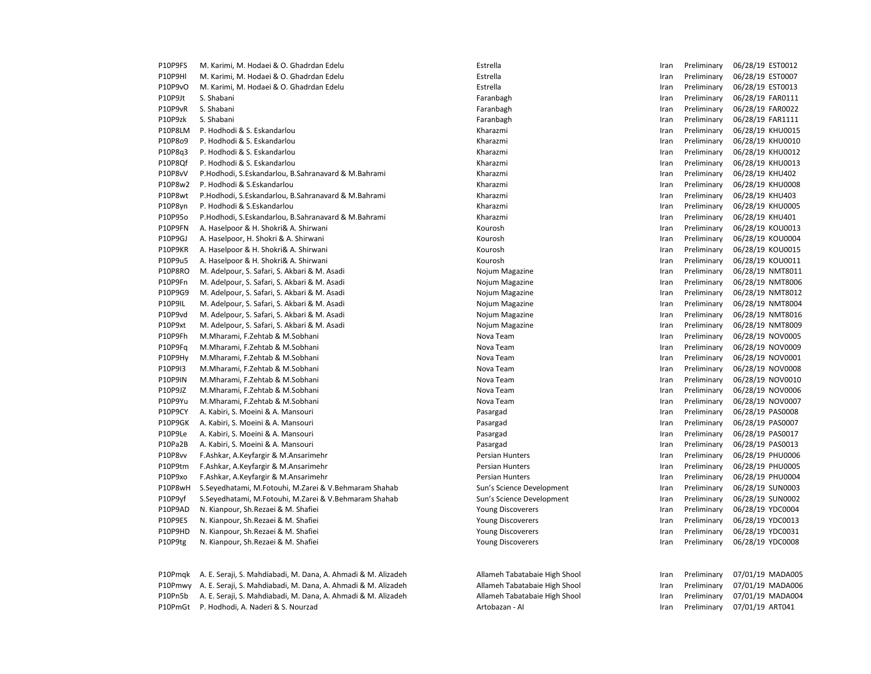| P10P9FS        | M. Karimi, M. Hodaei & O. Ghadrdan Edelu                      | Estrella                      | Iran | Preliminary | 06/28/19 EST0012 |
|----------------|---------------------------------------------------------------|-------------------------------|------|-------------|------------------|
| P10P9HI        | M. Karimi, M. Hodaei & O. Ghadrdan Edelu                      | Estrella                      | Iran | Preliminary | 06/28/19 EST0007 |
| P10P9vO        | M. Karimi, M. Hodaei & O. Ghadrdan Edelu                      | Estrella                      | Iran | Preliminary | 06/28/19 EST0013 |
| P10P9Jt        | S. Shabani                                                    | Faranbagh                     | Iran | Preliminary | 06/28/19 FAR0111 |
| P10P9vR        | S. Shabani                                                    | Faranbagh                     | Iran | Preliminary | 06/28/19 FAR0022 |
| P10P9zk        | S. Shabani                                                    | Faranbagh                     | Iran | Preliminary | 06/28/19 FAR1111 |
| P10P8LM        | P. Hodhodi & S. Eskandarlou                                   | Kharazmi                      | Iran | Preliminary | 06/28/19 KHU0015 |
| P10P8o9        | P. Hodhodi & S. Eskandarlou                                   | Kharazmi                      | Iran | Preliminary | 06/28/19 KHU0010 |
| P10P8q3        | P. Hodhodi & S. Eskandarlou                                   | Kharazmi                      | Iran | Preliminary | 06/28/19 KHU0012 |
| P10P8Qf        | P. Hodhodi & S. Eskandarlou                                   | Kharazmi                      | Iran | Preliminary | 06/28/19 KHU0013 |
| P10P8vV        | P.Hodhodi, S.Eskandarlou, B.Sahranavard & M.Bahrami           | Kharazmi                      | Iran | Preliminary | 06/28/19 KHU402  |
| P10P8w2        | P. Hodhodi & S.Eskandarlou                                    | Kharazmi                      | Iran | Preliminary | 06/28/19 KHU0008 |
| P10P8wt        | P.Hodhodi, S.Eskandarlou, B.Sahranavard & M.Bahrami           | Kharazmi                      | Iran | Preliminary | 06/28/19 KHU403  |
| P10P8yn        | P. Hodhodi & S.Eskandarlou                                    | Kharazmi                      | Iran | Preliminary | 06/28/19 KHU0005 |
| P10P95o        | P.Hodhodi, S.Eskandarlou, B.Sahranavard & M.Bahrami           | Kharazmi                      | Iran | Preliminary | 06/28/19 KHU401  |
| P10P9FN        | A. Haselpoor & H. Shokri& A. Shirwani                         | Kourosh                       | Iran | Preliminary | 06/28/19 KOU0013 |
| P10P9GJ        | A. Haselpoor, H. Shokri & A. Shirwani                         | Kourosh                       | Iran | Preliminary | 06/28/19 KOU0004 |
| P10P9KR        | A. Haselpoor & H. Shokri& A. Shirwani                         | Kourosh                       | Iran | Preliminary | 06/28/19 KOU0015 |
| P10P9u5        | A. Haselpoor & H. Shokri& A. Shirwani                         | Kourosh                       | Iran | Preliminary | 06/28/19 KOU0011 |
| <b>P10P8RO</b> | M. Adelpour, S. Safari, S. Akbari & M. Asadi                  | Nojum Magazine                | Iran | Preliminary | 06/28/19 NMT8011 |
| P10P9Fn        | M. Adelpour, S. Safari, S. Akbari & M. Asadi                  | Nojum Magazine                | Iran | Preliminary | 06/28/19 NMT8006 |
| P10P9G9        | M. Adelpour, S. Safari, S. Akbari & M. Asadi                  | Nojum Magazine                | Iran | Preliminary | 06/28/19 NMT8012 |
| P10P9IL        | M. Adelpour, S. Safari, S. Akbari & M. Asadi                  | Nojum Magazine                | Iran | Preliminary | 06/28/19 NMT8004 |
| P10P9vd        | M. Adelpour, S. Safari, S. Akbari & M. Asadi                  | Nojum Magazine                | Iran | Preliminary | 06/28/19 NMT8016 |
| P10P9xt        | M. Adelpour, S. Safari, S. Akbari & M. Asadi                  | Nojum Magazine                | Iran | Preliminary | 06/28/19 NMT8009 |
| P10P9Fh        | M.Mharami, F.Zehtab & M.Sobhani                               | Nova Team                     | Iran | Preliminary | 06/28/19 NOV0005 |
| P10P9Fa        | M.Mharami, F.Zehtab & M.Sobhani                               | Nova Team                     | Iran | Preliminary | 06/28/19 NOV0009 |
| P10P9Hy        | M.Mharami, F.Zehtab & M.Sobhani                               | Nova Team                     | Iran | Preliminary | 06/28/19 NOV0001 |
| P10P9I3        | M.Mharami, F.Zehtab & M.Sobhani                               | Nova Team                     | Iran | Preliminary | 06/28/19 NOV0008 |
| <b>P10P9IN</b> | M.Mharami, F.Zehtab & M.Sobhani                               | Nova Team                     | Iran | Preliminary | 06/28/19 NOV0010 |
| P10P9JZ        | M.Mharami, F.Zehtab & M.Sobhani                               | Nova Team                     | Iran | Preliminary | 06/28/19 NOV0006 |
| P10P9Yu        | M.Mharami, F.Zehtab & M.Sobhani                               | Nova Team                     | Iran | Preliminary | 06/28/19 NOV0007 |
| P10P9CY        | A. Kabiri, S. Moeini & A. Mansouri                            | Pasargad                      | Iran | Preliminary | 06/28/19 PAS0008 |
| P10P9GK        | A. Kabiri, S. Moeini & A. Mansouri                            | Pasargad                      | Iran | Preliminary | 06/28/19 PAS0007 |
| P10P9Le        | A. Kabiri, S. Moeini & A. Mansouri                            | Pasargad                      | Iran | Preliminary | 06/28/19 PAS0017 |
| P10Pa2B        | A. Kabiri, S. Moeini & A. Mansouri                            | Pasargad                      | Iran | Preliminary | 06/28/19 PAS0013 |
| P10P8vv        | F.Ashkar, A.Keyfargir & M.Ansarimehr                          | <b>Persian Hunters</b>        | Iran | Preliminary | 06/28/19 PHU0006 |
| P10P9tm        | F.Ashkar, A.Keyfargir & M.Ansarimehr                          | <b>Persian Hunters</b>        | Iran | Preliminary | 06/28/19 PHU0005 |
| P10P9xo        | F.Ashkar, A.Keyfargir & M.Ansarimehr                          | <b>Persian Hunters</b>        | Iran | Preliminary | 06/28/19 PHU0004 |
| P10P8wH        | S. Seyedhatami, M. Fotouhi, M. Zarei & V. Behmaram Shahab     | Sun's Science Development     | Iran | Preliminary | 06/28/19 SUN0003 |
| P10P9yf        | S. Seyedhatami, M. Fotouhi, M. Zarei & V. Behmaram Shahab     | Sun's Science Development     | Iran | Preliminary | 06/28/19 SUN0002 |
| P10P9AD        | N. Kianpour, Sh. Rezaei & M. Shafiei                          | <b>Young Discoverers</b>      | Iran | Preliminary | 06/28/19 YDC0004 |
| P10P9ES        | N. Kianpour, Sh. Rezaei & M. Shafiei                          | <b>Young Discoverers</b>      | Iran | Preliminary | 06/28/19 YDC0013 |
| P10P9HD        | N. Kianpour, Sh. Rezaei & M. Shafiei                          | <b>Young Discoverers</b>      | Iran | Preliminary | 06/28/19 YDC0031 |
| P10P9tg        | N. Kianpour, Sh. Rezaei & M. Shafiei                          | <b>Young Discoverers</b>      | Iran | Preliminary | 06/28/19 YDC0008 |
| P10Pmgk        | A. E. Seraji, S. Mahdiabadi, M. Dana, A. Ahmadi & M. Alizadeh | Allameh Tabatabaie High Shool | Iran | Preliminary | 07/01/19 MADA005 |
| P10Pmwy        | A. E. Seraji, S. Mahdiabadi, M. Dana, A. Ahmadi & M. Alizadeh | Allameh Tabatabaie High Shool | Iran | Preliminary | 07/01/19 MADA006 |
| P10Pn5b        | A. E. Seraji, S. Mahdiabadi, M. Dana, A. Ahmadi & M. Alizadeh | Allameh Tabatabaie High Shool | Iran | Preliminary | 07/01/19 MADA004 |
| P10PmGt        | P. Hodhodi, A. Naderi & S. Nourzad                            | Artobazan - Al                | Iran | Preliminary | 07/01/19 ART041  |
|                |                                                               |                               |      |             |                  |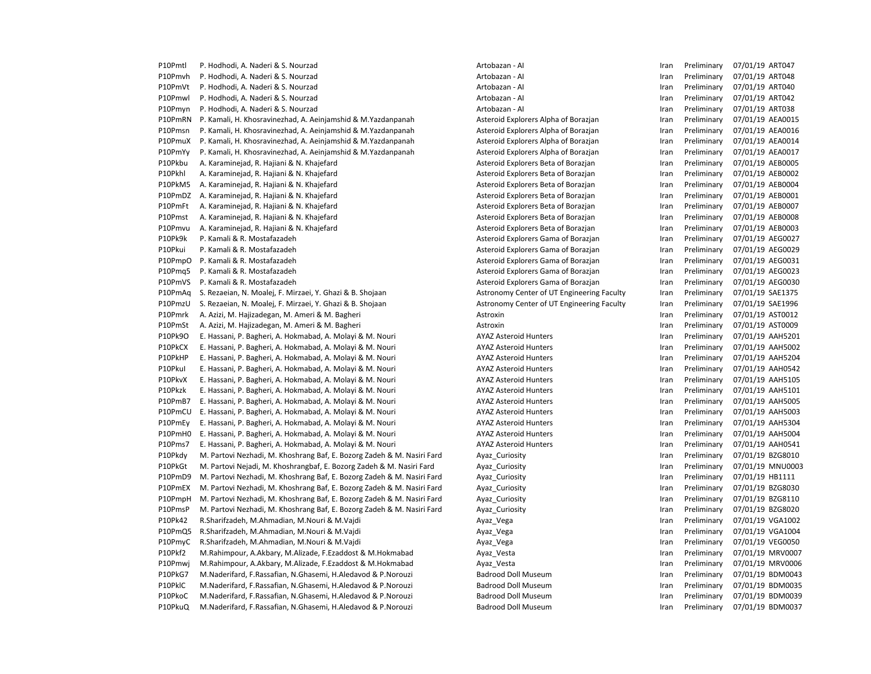P10Pmtl P. Hodhodi, A. Naderi & S. Nourzad Artobazan - Al Artobazan - Al Iran Preliminary 07/01/19 ART047 P10Pmvh P. Hodhodi, A. Naderi & S. Nourzad Artobazan - AI Artobazan - AI Iran Preliminary 07/01/19 ART048 P10PmVt P. Hodhodi, A. Naderi & S. Nourzad Artobazan - Al Artobazan - Al Iran Preliminary 07/01/19 ART040 P10Pmwl P. Hodhodi, A. Naderi & S. Nourzad Material Artobazan - AI Artobazan - AI Iran Preliminary 07/01/19 ART042 P10Pmyn P. Hodhodi, A. Naderi & S. Nourzad Artobazan - Al Artobazan - Al Iran Preliminary 07/01/19 ART038 P10PmRN P. Kamali, H. Khosravinezhad, A. Aeinjamshid & M. Yazdanpanah Asteroid Explorers Alpha of Borazjan Iran Preliminary 07/01/19 AEA0015 P10Pmsn P. Kamali, H. Khosravinezhad, A. Aeinjamshid & M. Yazdanpanah Asteroid Explorers Alpha of Borazjan Iran Preliminary 07/01/19 AEA0016 P10PmuX P. Kamali, H. Khosravinezhad, A. Aeinjamshid & M.Yazdanpanah Asteroid Explorers Alpha of Borazjan Iran Preliminary 07/01/19 AEA0014 P10PmYy P. Kamali, H. Khosravinezhad, A. Aeinjamshid & M.Yazdanpanah Asteroid Explorers Alpha of Borazjan Iran Preliminary 07/01/19 AEA0017 P10Pkbu A. Karaminejad, R. Hajiani & N. Khajefard Asteroid Explorers Beta of Borazjan Iran Preliminary 07/01/19 AEB0005 P10Pkhl A. Karaminejad, R. Hajiani & N. Khajefard Asteroid Explorers Beta of Borazjan Iran Preliminary 07/01/19 AEB0002 P10PkM5 A. Karaminejad, R. Hajiani & N. Khajefard Asteroid Explorers Beta of Borazjan Iran Preliminary 07/01/19 AEB0004 P10PmDZ A. Karaminejad. R. Hajiani & N. Khajefard Asteroid Explorers Beta of Borazjan Iran Preliminary 07/01/19 AEB0001 P10PmFt A. Karaminejad, R. Hajiani & N. Khajefard Asteroid Explorers Beta of Borazjan Iran Preliminary 07/01/19 AEB0007 P10Pmst A. Karaminejad, R. Hajiani & N. Khajefard Asteroid Explorers Beta of Borazjan Iran Preliminary 07/01/19 AEB0008 P10Pmvu A. Karaminejad, R. Hajiani & N. Khajefard Asteroid Explorers Beta of Borazjan Iran Preliminary 07/01/19 AEB0003 P10Pk9k P. Kamali & R. Mostafazadeh Asteroid Explorers Gama of Borazjan Iran Preliminary 07/01/19 AEG0027 P10Pkui P. Kamali & R. Mostafazadeh Asteroid Explorers Gama of Borazjan Iran Preliminary 07/01/19 AEG0029 P10PmpO P. Kamali & R. Mostafazadeh Asteroid Explorers Gama of Borazian Iran Preliminary 07/01/19 AEG0031 P10Pmq5 P. Kamali & R. Mostafazadeh Asteroid Explorers Gama of Borazjan Iran Preliminary 07/01/19 AEG0023 P10PmVS P. Kamali & R. Mostafazadeh Asteroid Explorers Gama of Borazjan Iran Preliminary 07/01/19 AEG0030 P10PmAq S. Rezaeian, N. Moalej, F. Mirzaei, Y. Ghazi & B. Shojaan Astronomy Center of UT Engineering Faculty Iran Preliminary 07/01/19 SAE1375 P10PmzU S. Rezaeian, N. Moalej, F. Mirzaei, Y. Ghazi & B. Shojaan Astronomy Center of UT Engineering Faculty Iran Preliminary 07/01/19 SAE1996 P10Pmrk A. Azizi, M. Hajizadegan, M. Ameri & M. Bagheri **Actroxic Actroxin** Astroxin **Astroxin** Iran Preliminary 07/01/19 AST0012 P10PmSt A. Azizi, M. Hajizadegan, M. Ameri & M. Bagheri **Actroxic Actroxin** Astroxin **Astroxin** Iran Preliminary 07/01/19 AST0009 P10Pk9O E. Hassani, P. Bagheri, A. Hokmabad, A. Molayi & M. Nouri AYAZ Asteroid Hunters Fram Preliminary 07/01/19 AAH5201 P10PkCX E. Hassani, P. Bagheri, A. Hokmabad, A. Molayi & M. Nouri AYAZ Asteroid Hunters Fram Preliminary 07/01/19 AAH5002 P10PkHP E. Hassani, P. Bagheri, A. Hokmabad, A. Molayi & M. Nouri AYAZ Asteroid Hunters Fram Preliminary 07/01/19 AAH5204 P10PkuI E. Hassani, P. Bagheri, A. Hokmabad, A. Molayi & M. Nouri AYAZ Asteroid Hunters Fram Preliminary 07/01/19 AAH0542 P10PkvX E. Hassani, P. Bagheri, A. Hokmabad, A. Molayi & M. Nouri AYAZ Asteroid Hunters Fram Preliminary 07/01/19 AAH5105 P10Pkzk E. Hassani, P. Bagheri, A. Hokmabad, A. Molayi & M. Nouri AYAZ Asteroid Hunters Fram Preliminary 07/01/19 AAH5101 P10PmB7 E. Hassani, P. Bagheri, A. Hokmabad, A. Molayi & M. Nouri AYAZ Asteroid Hunters Fram Preliminary 07/01/19 AAH5005 P10PmCU E. Hassani, P. Bagheri, A. Hokmabad, A. Molayi & M. Nouri AYAZ Asteroid Hunters Fram Preliminary 07/01/19 AAH5003 P10PmEy E. Hassani, P. Bagheri, A. Hokmabad, A. Molayi & M. Nouri AYAZ Asteroid Hunters Fram Preliminary 07/01/19 AAH5304 P10PmH0 E. Hassani, P. Bagheri, A. Hokmabad, A. Molayi & M. Nouri AYAZ Asteroid Hunters Fram Preliminary 07/01/19 AAH5004 P10Pms7 E. Hassani, P. Bagheri, A. Hokmabad, A. Molayi & M. Nouri AYAZ Asteroid Hunters Fram Preliminary 07/01/19 AAH0541 P10Pkdy M. Partovi Nezhadi, M. Khoshrang Baf, E. Bozorg Zadeh & M. Nasiri Fard Ayaz Curiosity **Inches and Ayazam Preliminary 07/01/19 BZG8010** P10PkGt M. Partovi Nejadi, M. Khoshrangbaf, E. Bozorg Zadeh & M. Nasiri Fard Ayaz Curiosity **Iran Preliminary 07/01/19 MNU0003** P10PmD9 M. Partovi Nezhadi, M. Khoshrang Baf, E. Bozorg Zadeh & M. Nasiri Fard Ayaz Curiosity **Incertain Preliminary 19701/19 HB1111** P10PmEX M. Partovi Nezhadi, M. Khoshrang Baf, E. Bozorg Zadeh & M. Nasiri Fard Ayaz\_Curiosity **Inches and Australian Ayaz\_Curiosity** Iran Preliminary 07/01/19 BZG8030 P10PmpH M. Partovi Nezhadi, M. Khoshrang Baf, E. Bozorg Zadeh & M. Nasiri Fard Ayaz\_Curiosity **Inches and Ayaz\_Curiosity** Iran Preliminary 07/01/19 BZG8110 P10PmsP M. Partovi Nezhadi, M. Khoshrang Baf, E. Bozorg Zadeh & M. Nasiri Fard Ayaz Curiosity **Inches Preliminary 197/01/19 BZG8020** P10Pk42 R.Sharifzadeh, M.Ahmadian, M.Nouri & M.Vajdi **Ayaz** Mexiko Ayaz Vega **Iran Preliminary 07/01/19 VGA1002** P10PmQ5 R.Sharifzadeh, M.Ahmadian, M.Nouri & M.Vajdi Ayaz\_Vega Iran Preliminary 07/01/19 VGA1004 P10PmyC R.Sharifzadeh, M.Ahmadian, M.Nouri & M.Vajdi Ayaz\_Vega Iran Preliminary 07/01/19 VEG0050 P10Pkf2 M.Rahimpour, A.Akbary, M.Alizade, F.Ezaddost & M.Hokmabad Ayaz Vesta Ayazar Ayazar Preliminary 07/01/19 MRV0007 P10Pmwi M.Rahimpour, A.Akbary, M.Alizade, F.Ezaddost & M.Hokmabad Ayaz Vesta Ayaza Vesta Iran Preliminary 07/01/19 MRV0006 P10PkG7 M.Naderifard, F.Rassafian, N.Ghasemi, H.Aledavod & P.Norouzi Badrood Doll Museum Iran Preliminary 07/01/19 BDM0043 P10PklC M.Naderifard, F.Rassafian, N.Ghasemi, H.Aledavod & P.Norouzi Badrood Doll Museum Iran Preliminary 07/01/19 BDM0035 P10PkoC M.Naderifard, F.Rassafian, N.Ghasemi, H.Aledavod & P.Norouzi Badrood Doll Museum Iran Preliminary 07/01/19 BDM0039 P10PkuQ M.Naderifard, F.Rassafian, N.Ghasemi, H.Aledavod & P.Norouzi Badrood Doll Museum Iran Preliminary 07/01/19 BDM0037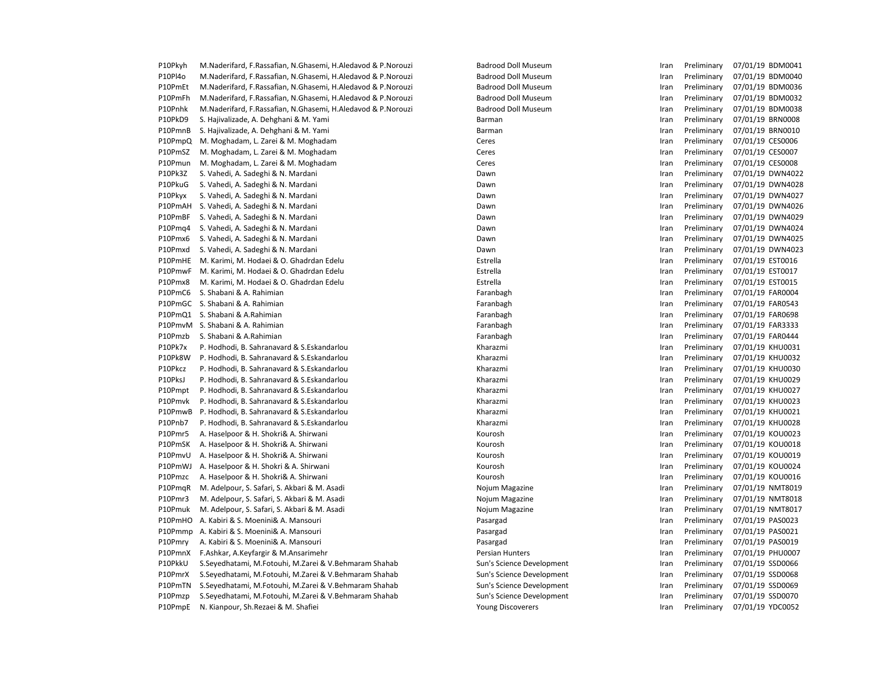| P10Pkyh | M.Naderifard, F.Rassafian, N.Ghasemi, H.Aledavod & P.Norouzi | <b>Badrood Doll Museum</b> | Iran | Preliminary | 07/01/19 BDM0041 |
|---------|--------------------------------------------------------------|----------------------------|------|-------------|------------------|
| P10Pl4o | M.Naderifard, F.Rassafian, N.Ghasemi, H.Aledavod & P.Norouzi | <b>Badrood Doll Museum</b> | Iran | Preliminary | 07/01/19 BDM0040 |
| P10PmEt | M.Naderifard, F.Rassafian, N.Ghasemi, H.Aledavod & P.Norouzi | <b>Badrood Doll Museum</b> | Iran | Preliminary | 07/01/19 BDM0036 |
| P10PmFh | M.Naderifard, F.Rassafian, N.Ghasemi, H.Aledavod & P.Norouzi | <b>Badrood Doll Museum</b> | Iran | Preliminary | 07/01/19 BDM0032 |
| P10Pnhk | M.Naderifard, F.Rassafian, N.Ghasemi, H.Aledavod & P.Norouzi | <b>Badrood Doll Museum</b> | Iran | Preliminary | 07/01/19 BDM0038 |
| P10PkD9 | S. Hajivalizade, A. Dehghani & M. Yami                       | Barman                     | Iran | Preliminary | 07/01/19 BRN0008 |
| P10PmnB | S. Hajivalizade, A. Dehghani & M. Yami                       | Barman                     | Iran | Preliminary | 07/01/19 BRN0010 |
| P10PmpQ | M. Moghadam, L. Zarei & M. Moghadam                          | Ceres                      | Iran | Preliminary | 07/01/19 CES0006 |
| P10PmSZ | M. Moghadam, L. Zarei & M. Moghadam                          | Ceres                      | Iran | Preliminary | 07/01/19 CES0007 |
| P10Pmun | M. Moghadam, L. Zarei & M. Moghadam                          | Ceres                      | Iran | Preliminary | 07/01/19 CES0008 |
| P10Pk3Z | S. Vahedi, A. Sadeghi & N. Mardani                           | Dawn                       | Iran | Preliminary | 07/01/19 DWN4022 |
| P10PkuG | S. Vahedi, A. Sadeghi & N. Mardani                           | Dawn                       | Iran | Preliminary | 07/01/19 DWN4028 |
| P10Pkyx | S. Vahedi, A. Sadeghi & N. Mardani                           | Dawn                       | Iran | Preliminary | 07/01/19 DWN4027 |
| P10PmAH | S. Vahedi, A. Sadeghi & N. Mardani                           | Dawn                       | Iran | Preliminary | 07/01/19 DWN4026 |
| P10PmBF | S. Vahedi, A. Sadeghi & N. Mardani                           | Dawn                       | Iran | Preliminary | 07/01/19 DWN4029 |
| P10Pmg4 | S. Vahedi, A. Sadeghi & N. Mardani                           | Dawn                       | Iran | Preliminary | 07/01/19 DWN4024 |
| P10Pmx6 | S. Vahedi, A. Sadeghi & N. Mardani                           | Dawn                       | Iran | Preliminary | 07/01/19 DWN4025 |
| P10Pmxd | S. Vahedi, A. Sadeghi & N. Mardani                           | Dawn                       | Iran | Preliminary | 07/01/19 DWN4023 |
| P10PmHE | M. Karimi, M. Hodaei & O. Ghadrdan Edelu                     | Estrella                   | Iran | Preliminary | 07/01/19 EST0016 |
| P10PmwF | M. Karimi, M. Hodaei & O. Ghadrdan Edelu                     | Estrella                   | Iran | Preliminary | 07/01/19 EST0017 |
| P10Pmx8 | M. Karimi, M. Hodaei & O. Ghadrdan Edelu                     | Estrella                   | Iran | Preliminary | 07/01/19 EST0015 |
| P10PmC6 | S. Shabani & A. Rahimian                                     | Faranbagh                  | Iran | Preliminary | 07/01/19 FAR0004 |
| P10PmGC | S. Shabani & A. Rahimian                                     | Faranbagh                  | Iran | Preliminary | 07/01/19 FAR0543 |
| P10PmQ1 | S. Shabani & A.Rahimian                                      | Faranbagh                  | Iran | Preliminary | 07/01/19 FAR0698 |
| P10PmvM | S. Shabani & A. Rahimian                                     | Faranbagh                  | Iran | Preliminary | 07/01/19 FAR3333 |
| P10Pmzb | S. Shabani & A.Rahimian                                      | Faranbagh                  | Iran | Preliminary | 07/01/19 FAR0444 |
| P10Pk7x | P. Hodhodi, B. Sahranavard & S. Eskandarlou                  | Kharazmi                   | Iran | Preliminary | 07/01/19 KHU0031 |
| P10Pk8W | P. Hodhodi, B. Sahranavard & S. Eskandarlou                  | Kharazmi                   | Iran | Preliminary | 07/01/19 KHU0032 |
| P10Pkcz | P. Hodhodi, B. Sahranavard & S.Eskandarlou                   | Kharazmi                   | Iran | Preliminary | 07/01/19 KHU0030 |
| P10PksJ | P. Hodhodi, B. Sahranavard & S. Eskandarlou                  | Kharazmi                   | Iran | Preliminary | 07/01/19 KHU0029 |
| P10Pmpt | P. Hodhodi, B. Sahranavard & S.Eskandarlou                   | Kharazmi                   | Iran | Preliminary | 07/01/19 KHU0027 |
| P10Pmvk | P. Hodhodi, B. Sahranavard & S.Eskandarlou                   | Kharazmi                   | Iran | Preliminary | 07/01/19 KHU0023 |
| P10PmwB | P. Hodhodi, B. Sahranavard & S. Eskandarlou                  | Kharazmi                   | Iran | Preliminary | 07/01/19 KHU0021 |
| P10Pnb7 | P. Hodhodi, B. Sahranavard & S.Eskandarlou                   | Kharazmi                   | Iran | Preliminary | 07/01/19 KHU0028 |
| P10Pmr5 | A. Haselpoor & H. Shokri& A. Shirwani                        | Kourosh                    | Iran | Preliminary | 07/01/19 KOU0023 |
| P10PmSK | A. Haselpoor & H. Shokri& A. Shirwani                        | Kourosh                    | Iran | Preliminary | 07/01/19 KOU0018 |
| P10PmvU | A. Haselpoor & H. Shokri& A. Shirwani                        | Kourosh                    | Iran | Preliminary | 07/01/19 KOU0019 |
| P10PmWJ | A. Haselpoor & H. Shokri & A. Shirwani                       | Kourosh                    | Iran | Preliminary | 07/01/19 KOU0024 |
| P10Pmzc | A. Haselpoor & H. Shokri& A. Shirwani                        | Kourosh                    | Iran | Preliminary | 07/01/19 KOU0016 |
| P10PmqR | M. Adelpour, S. Safari, S. Akbari & M. Asadi                 | Nojum Magazine             | Iran | Preliminary | 07/01/19 NMT8019 |
| P10Pmr3 | M. Adelpour, S. Safari, S. Akbari & M. Asadi                 | Nojum Magazine             | Iran | Preliminary | 07/01/19 NMT8018 |
| P10Pmuk | M. Adelpour, S. Safari, S. Akbari & M. Asadi                 | Nojum Magazine             | Iran | Preliminary | 07/01/19 NMT8017 |
| P10PmHO | A. Kabiri & S. Moenini& A. Mansouri                          | Pasargad                   | Iran | Preliminary | 07/01/19 PAS0023 |
| P10Pmmp | A. Kabiri & S. Moenini& A. Mansouri                          | Pasargad                   | Iran | Preliminary | 07/01/19 PAS0021 |
| P10Pmry | A. Kabiri & S. Moenini& A. Mansouri                          | Pasargad                   | Iran | Preliminary | 07/01/19 PAS0019 |
| P10PmnX | F.Ashkar, A.Keyfargir & M.Ansarimehr                         | Persian Hunters            | Iran | Preliminary | 07/01/19 PHU0007 |
| P10PkkU | S. Seyedhatami, M. Fotouhi, M. Zarei & V. Behmaram Shahab    | Sun's Science Development  | Iran | Preliminary | 07/01/19 SSD0066 |
| P10PmrX | S. Seyedhatami, M. Fotouhi, M. Zarei & V. Behmaram Shahab    | Sun's Science Development  | Iran | Preliminary | 07/01/19 SSD0068 |
| P10PmTN | S.Seyedhatami, M.Fotouhi, M.Zarei & V.Behmaram Shahab        | Sun's Science Development  | Iran | Preliminary | 07/01/19 SSD0069 |
| P10Pmzp | S. Seyedhatami, M. Fotouhi, M. Zarei & V. Behmaram Shahab    | Sun's Science Development  | Iran | Preliminary | 07/01/19 SSD0070 |
| P10PmpE | N. Kianpour, Sh. Rezaei & M. Shafiei                         | <b>Young Discoverers</b>   | Iran | Preliminary | 07/01/19 YDC0052 |
|         |                                                              |                            |      |             |                  |